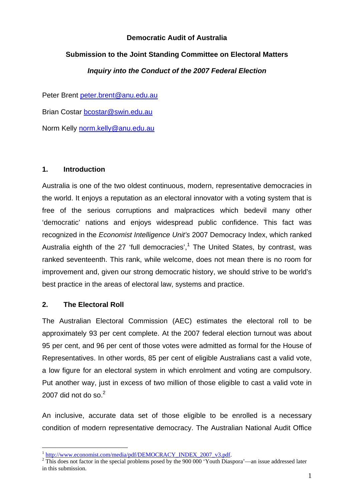## **Democratic Audit of Australia**

# **Submission to the Joint Standing Committee on Electoral Matters**

## *Inquiry into the Conduct of the 2007 Federal Election*

Peter Brent peter.brent@anu.edu.au

Brian Costar bcostar@swin.edu.au

Norm Kelly norm.kelly@anu.edu.au

## **1. Introduction**

Australia is one of the two oldest continuous, modern, representative democracies in the world. It enjoys a reputation as an electoral innovator with a voting system that is free of the serious corruptions and malpractices which bedevil many other 'democratic' nations and enjoys widespread public confidence. This fact was recognized in the *Economist Intelligence Unit's* 2007 Democracy Index, which ranked Australia eighth of the 27 'full democracies', $1$  The United States, by contrast, was ranked seventeenth. This rank, while welcome, does not mean there is no room for improvement and, given our strong democratic history, we should strive to be world's best practice in the areas of electoral law, systems and practice.

## **2. The Electoral Roll**

1

The Australian Electoral Commission (AEC) estimates the electoral roll to be approximately 93 per cent complete. At the 2007 federal election turnout was about 95 per cent, and 96 per cent of those votes were admitted as formal for the House of Representatives. In other words, 85 per cent of eligible Australians cast a valid vote, a low figure for an electoral system in which enrolment and voting are compulsory. Put another way, just in excess of two million of those eligible to cast a valid vote in 2007 did not do so. $2$ 

An inclusive, accurate data set of those eligible to be enrolled is a necessary condition of modern representative democracy. The Australian National Audit Office

<sup>&</sup>lt;sup>1</sup> http://www.economist.com/media/pdf/DEMOCRACY\_INDEX\_2007\_v3.pdf.

<sup>&</sup>lt;sup>2</sup> This does not factor in the special problems posed by the 900 000 'Youth Diaspora'—an issue addressed later in this submission.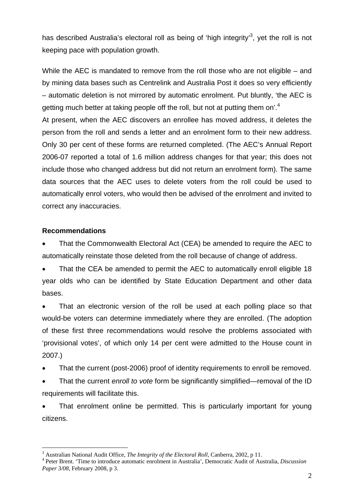has described Australia's electoral roll as being of 'high integrity'<sup>3</sup>, yet the roll is not keeping pace with population growth.

While the AEC is mandated to remove from the roll those who are not eligible – and by mining data bases such as Centrelink and Australia Post it does so very efficiently – automatic deletion is not mirrored by automatic enrolment. Put bluntly, 'the AEC is getting much better at taking people off the roll, but not at putting them on'.<sup>4</sup>

At present, when the AEC discovers an enrollee has moved address, it deletes the person from the roll and sends a letter and an enrolment form to their new address. Only 30 per cent of these forms are returned completed. (The AEC's Annual Report 2006-07 reported a total of 1.6 million address changes for that year; this does not include those who changed address but did not return an enrolment form). The same data sources that the AEC uses to delete voters from the roll could be used to automatically enrol voters, who would then be advised of the enrolment and invited to correct any inaccuracies.

## **Recommendations**

1

• That the Commonwealth Electoral Act (CEA) be amended to require the AEC to automatically reinstate those deleted from the roll because of change of address.

• That the CEA be amended to permit the AEC to automatically enroll eligible 18 year olds who can be identified by State Education Department and other data bases.

That an electronic version of the roll be used at each polling place so that would-be voters can determine immediately where they are enrolled. (The adoption of these first three recommendations would resolve the problems associated with 'provisional votes', of which only 14 per cent were admitted to the House count in 2007.)

• That the current (post-2006) proof of identity requirements to enroll be removed.

• That the current *enroll to vote* form be significantly simplified—removal of the ID requirements will facilitate this.

That enrolment online be permitted. This is particularly important for young citizens.

<sup>&</sup>lt;sup>3</sup> Australian National Audit Office, *The Integrity of the Electoral Roll*, Canberra, 2002, p 11.<br><sup>4</sup> Poter Brant, 'Time to introduce outpmatic angelment in Australia', Democratic Audit of Au

Peter Brent. 'Time to introduce automatic enrolment in Australia', Democratic Audit of Australia, *Discussion Paper 3/08*, February 2008, p 3.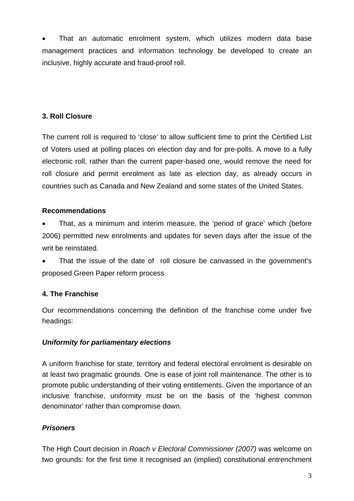That an automatic enrolment system, which utilizes modern data base management practices and information technology be developed to create an inclusive, highly accurate and fraud-proof roll.

# **3. Roll Closure**

The current roll is required to 'close' to allow sufficient time to print the Certified List of Voters used at polling places on election day and for pre-polls. A move to a fully electronic roll, rather than the current paper-based one, would remove the need for roll closure and permit enrolment as late as election day, as already occurs in countries such as Canada and New Zealand and some states of the United States.

## **Recommendations**

• That, as a minimum and interim measure, the 'period of grace' which (before 2006) permitted new enrolments and updates for seven days after the issue of the writ be reinstated.

That the issue of the date of roll closure be canvassed in the government's proposed Green Paper reform process

# **4. The Franchise**

Our recommendations concerning the definition of the franchise come under five headings:

# *Uniformity for parliamentary elections*

A uniform franchise for state, territory and federal electoral enrolment is desirable on at least two pragmatic grounds. One is ease of joint roll maintenance. The other is to promote public understanding of their voting entitlements. Given the importance of an inclusive franchise, uniformity must be on the basis of the 'highest common denominator' rather than compromise down.

# *Prisoners*

The High Court decision in *Roach v Electoral Commissioner (2007)* was welcome on two grounds: for the first time it recognised an (implied) constitutional entrenchment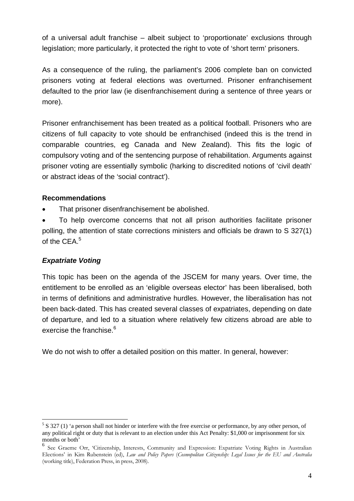of a universal adult franchise – albeit subject to 'proportionate' exclusions through legislation; more particularly, it protected the right to vote of 'short term' prisoners.

As a consequence of the ruling, the parliament's 2006 complete ban on convicted prisoners voting at federal elections was overturned. Prisoner enfranchisement defaulted to the prior law (ie disenfranchisement during a sentence of three years or more).

Prisoner enfranchisement has been treated as a political football. Prisoners who are citizens of full capacity to vote should be enfranchised (indeed this is the trend in comparable countries, eg Canada and New Zealand). This fits the logic of compulsory voting and of the sentencing purpose of rehabilitation. Arguments against prisoner voting are essentially symbolic (harking to discredited notions of 'civil death' or abstract ideas of the 'social contract').

## **Recommendations**

- That prisoner disenfranchisement be abolished.
- To help overcome concerns that not all prison authorities facilitate prisoner polling, the attention of state corrections ministers and officials be drawn to S 327(1) of the CEA.<sup>5</sup>

# *Expatriate Voting*

1

This topic has been on the agenda of the JSCEM for many years. Over time, the entitlement to be enrolled as an 'eligible overseas elector' has been liberalised, both in terms of definitions and administrative hurdles. However, the liberalisation has not been back-dated. This has created several classes of expatriates, depending on date of departure, and led to a situation where relatively few citizens abroad are able to exercise the franchise.<sup>6</sup>

We do not wish to offer a detailed position on this matter. In general, however:

 $5 S 327 (1)$  'a person shall not hinder or interfere with the free exercise or performance, by any other person, of any political right or duty that is relevant to an election under this Act Penalty: \$1,000 or imprisonment for six months or both'

<sup>6</sup> See Graeme Orr, 'Citizenship, Interests, Community and Expression: Expatriate Voting Rights in Australian Elections' in Kim Rubenstein (ed), *Law and Policy Papers* (*Cosmopolitan Citizenship: Legal Issues for the EU and Australia* (working title), Federation Press, in press, 2008).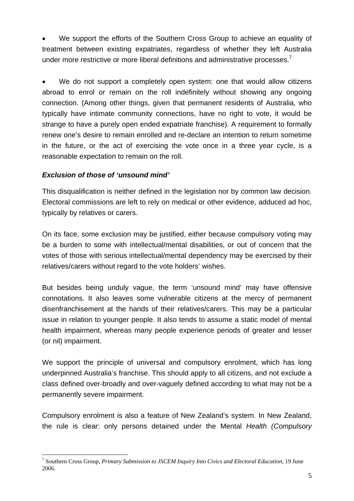We support the efforts of the Southern Cross Group to achieve an equality of treatment between existing expatriates, regardless of whether they left Australia under more restrictive or more liberal definitions and administrative processes.<sup>7</sup>

We do not support a completely open system: one that would allow citizens abroad to enrol or remain on the roll indefinitely without showing any ongoing connection. (Among other things, given that permanent residents of Australia, who typically have intimate community connections, have no right to vote, it would be strange to have a purely open ended expatriate franchise). A requirement to formally renew one's desire to remain enrolled and re-declare an intention to return sometime in the future, or the act of exercising the vote once in a three year cycle, is a reasonable expectation to remain on the roll.

## *Exclusion of those of 'unsound mind'*

<u>.</u>

This disqualification is neither defined in the legislation nor by common law decision. Electoral commissions are left to rely on medical or other evidence, adduced ad hoc, typically by relatives or carers.

On its face, some exclusion may be justified, either because compulsory voting may be a burden to some with intellectual/mental disabilities, or out of concern that the votes of those with serious intellectual/mental dependency may be exercised by their relatives/carers without regard to the vote holders' wishes.

But besides being unduly vague, the term 'unsound mind' may have offensive connotations. It also leaves some vulnerable citizens at the mercy of permanent disenfranchisement at the hands of their relatives/carers. This may be a particular issue in relation to younger people. It also tends to assume a static model of mental health impairment, whereas many people experience periods of greater and lesser (or nil) impairment.

We support the principle of universal and compulsory enrolment, which has long underpinned Australia's franchise. This should apply to all citizens, and not exclude a class defined over-broadly and over-vaguely defined according to what may not be a permanently severe impairment.

Compulsory enrolment is also a feature of New Zealand's system. In New Zealand, the rule is clear: only persons detained under the Mental *Health (Compulsory* 

<sup>7</sup> Southern Cross Group, *Primary Submission to JSCEM Inquiry Into Civics and Electoral Education,* 19 June 2006.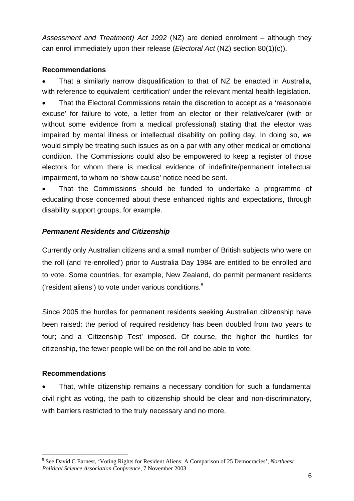*Assessment and Treatment) Act 1992* (NZ) are denied enrolment – although they can enrol immediately upon their release (*Electoral Act* (NZ) section 80(1)(c)).

# **Recommendations**

• That a similarly narrow disqualification to that of NZ be enacted in Australia, with reference to equivalent 'certification' under the relevant mental health legislation.

• That the Electoral Commissions retain the discretion to accept as a 'reasonable excuse' for failure to vote, a letter from an elector or their relative/carer (with or without some evidence from a medical professional) stating that the elector was impaired by mental illness or intellectual disability on polling day. In doing so, we would simply be treating such issues as on a par with any other medical or emotional condition. The Commissions could also be empowered to keep a register of those electors for whom there is medical evidence of indefinite/permanent intellectual impairment, to whom no 'show cause' notice need be sent.

• That the Commissions should be funded to undertake a programme of educating those concerned about these enhanced rights and expectations, through disability support groups, for example.

## *Permanent Residents and Citizenship*

Currently only Australian citizens and a small number of British subjects who were on the roll (and 're-enrolled') prior to Australia Day 1984 are entitled to be enrolled and to vote. Some countries, for example, New Zealand, do permit permanent residents ('resident aliens') to vote under various conditions. $8$ 

Since 2005 the hurdles for permanent residents seeking Australian citizenship have been raised: the period of required residency has been doubled from two years to four; and a 'Citizenship Test' imposed. Of course, the higher the hurdles for citizenship, the fewer people will be on the roll and be able to vote.

## **Recommendations**

<u>.</u>

That, while citizenship remains a necessary condition for such a fundamental civil right as voting, the path to citizenship should be clear and non-discriminatory, with barriers restricted to the truly necessary and no more.

<sup>8</sup> See David C Earnest, 'Voting Rights for Resident Aliens: A Comparison of 25 Democracies', *Northeast Political Science Association Conference,* 7 November 2003.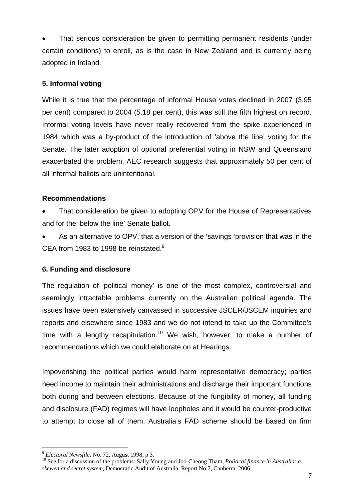• That serious consideration be given to permitting permanent residents (under certain conditions) to enroll, as is the case in New Zealand and is currently being adopted in Ireland.

#### **5. Informal voting**

While it is true that the percentage of informal House votes declined in 2007 (3.95 per cent) compared to 2004 (5.18 per cent), this was still the fifth highest on record. Informal voting levels have never really recovered from the spike experienced in 1984 which was a by-product of the introduction of 'above the line' voting for the Senate. The later adoption of optional preferential voting in NSW and Queensland exacerbated the problem. AEC research suggests that approximately 50 per cent of all informal ballots are unintentional.

## **Recommendations**

- That consideration be given to adopting OPV for the House of Representatives and for the 'below the line' Senate ballot.
- As an alternative to OPV, that a version of the 'savings 'provision that was in the CEA from 1983 to 1998 be reinstated.<sup>9</sup>

## **6. Funding and disclosure**

The regulation of 'political money' is one of the most complex, controversial and seemingly intractable problems currently on the Australian political agenda. The issues have been extensively canvassed in successive JSCER/JSCEM inquiries and reports and elsewhere since 1983 and we do not intend to take up the Committee's time with a lengthy recapitulation.<sup>10</sup> We wish, however, to make a number of recommendations which we could elaborate on at Hearings.

Impoverishing the political parties would harm representative democracy; parties need income to maintain their administrations and discharge their important functions both during and between elections. Because of the fungibility of money, all funding and disclosure (FAD) regimes will have loopholes and it would be counter-productive to attempt to close all of them. Australia's FAD scheme should be based on firm

<sup>1</sup> 

<sup>&</sup>lt;sup>9</sup> *Electoral Newsfile,* No. 72, August 1998, p 3.<br><sup>10</sup> See for a discussion of the problems: Sally Young and Joo-Cheong Tham, *Political finance in Australia: a skewed and secret system,* Democratic Audit of Australia, Report No.7, Canberra, 2006.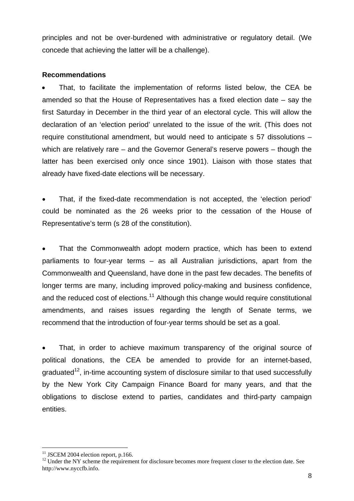principles and not be over-burdened with administrative or regulatory detail. (We concede that achieving the latter will be a challenge).

#### **Recommendations**

That, to facilitate the implementation of reforms listed below, the CEA be amended so that the House of Representatives has a fixed election date – say the first Saturday in December in the third year of an electoral cycle. This will allow the declaration of an 'election period' unrelated to the issue of the writ. (This does not require constitutional amendment, but would need to anticipate s 57 dissolutions – which are relatively rare – and the Governor General's reserve powers – though the latter has been exercised only once since 1901). Liaison with those states that already have fixed-date elections will be necessary.

• That, if the fixed-date recommendation is not accepted, the 'election period' could be nominated as the 26 weeks prior to the cessation of the House of Representative's term (s 28 of the constitution).

That the Commonwealth adopt modern practice, which has been to extend parliaments to four-year terms – as all Australian jurisdictions, apart from the Commonwealth and Queensland, have done in the past few decades. The benefits of longer terms are many, including improved policy-making and business confidence, and the reduced cost of elections.<sup>11</sup> Although this change would require constitutional amendments, and raises issues regarding the length of Senate terms, we recommend that the introduction of four-year terms should be set as a goal.

That, in order to achieve maximum transparency of the original source of political donations, the CEA be amended to provide for an internet-based, graduated<sup>12</sup>, in-time accounting system of disclosure similar to that used successfully by the New York City Campaign Finance Board for many years, and that the obligations to disclose extend to parties, candidates and third-party campaign entities.

1

 $11$  JSCEM 2004 election report, p.166.

<sup>&</sup>lt;sup>12</sup> Under the NY scheme the requirement for disclosure becomes more frequent closer to the election date. See http://www.nyccfb.info.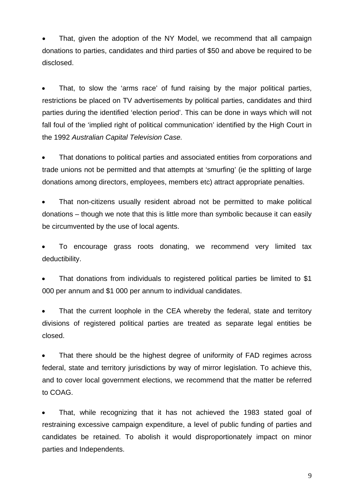That, given the adoption of the NY Model, we recommend that all campaign donations to parties, candidates and third parties of \$50 and above be required to be disclosed.

• That, to slow the 'arms race' of fund raising by the major political parties, restrictions be placed on TV advertisements by political parties, candidates and third parties during the identified 'election period'. This can be done in ways which will not fall foul of the 'implied right of political communication' identified by the High Court in the 1992 *Australian Capital Television Case.*

• That donations to political parties and associated entities from corporations and trade unions not be permitted and that attempts at 'smurfing' (ie the splitting of large donations among directors, employees, members etc) attract appropriate penalties.

That non-citizens usually resident abroad not be permitted to make political donations – though we note that this is little more than symbolic because it can easily be circumvented by the use of local agents.

• To encourage grass roots donating, we recommend very limited tax deductibility.

That donations from individuals to registered political parties be limited to \$1 000 per annum and \$1 000 per annum to individual candidates.

That the current loophole in the CEA whereby the federal, state and territory divisions of registered political parties are treated as separate legal entities be closed.

That there should be the highest degree of uniformity of FAD regimes across federal, state and territory jurisdictions by way of mirror legislation. To achieve this, and to cover local government elections, we recommend that the matter be referred to COAG.

• That, while recognizing that it has not achieved the 1983 stated goal of restraining excessive campaign expenditure, a level of public funding of parties and candidates be retained. To abolish it would disproportionately impact on minor parties and Independents.

9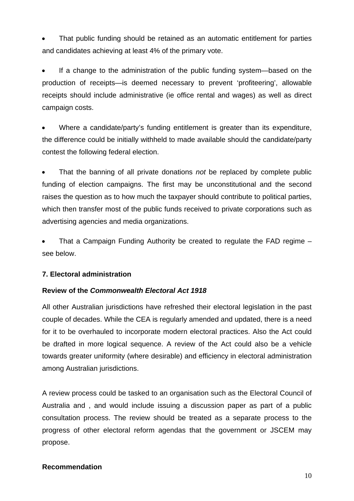• That public funding should be retained as an automatic entitlement for parties and candidates achieving at least 4% of the primary vote.

If a change to the administration of the public funding system—based on the production of receipts—is deemed necessary to prevent 'profiteering', allowable receipts should include administrative (ie office rental and wages) as well as direct campaign costs.

Where a candidate/party's funding entitlement is greater than its expenditure, the difference could be initially withheld to made available should the candidate/party contest the following federal election.

• That the banning of all private donations *not* be replaced by complete public funding of election campaigns. The first may be unconstitutional and the second raises the question as to how much the taxpayer should contribute to political parties, which then transfer most of the public funds received to private corporations such as advertising agencies and media organizations.

• That a Campaign Funding Authority be created to regulate the FAD regime – see below.

## **7. Electoral administration**

## **Review of the** *Commonwealth Electoral Act 1918*

All other Australian jurisdictions have refreshed their electoral legislation in the past couple of decades. While the CEA is regularly amended and updated, there is a need for it to be overhauled to incorporate modern electoral practices. Also the Act could be drafted in more logical sequence. A review of the Act could also be a vehicle towards greater uniformity (where desirable) and efficiency in electoral administration among Australian jurisdictions.

A review process could be tasked to an organisation such as the Electoral Council of Australia and , and would include issuing a discussion paper as part of a public consultation process. The review should be treated as a separate process to the progress of other electoral reform agendas that the government or JSCEM may propose.

#### **Recommendation**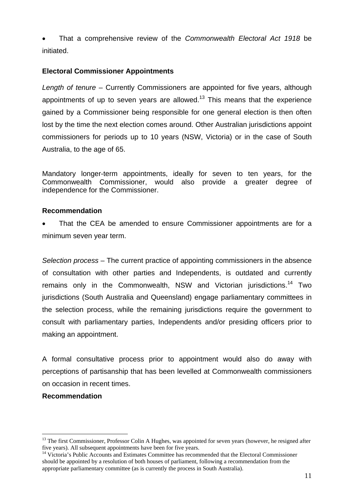• That a comprehensive review of the *Commonwealth Electoral Act 1918* be initiated.

## **Electoral Commissioner Appointments**

*Length of tenure* – Currently Commissioners are appointed for five years, although appointments of up to seven years are allowed.<sup>13</sup> This means that the experience gained by a Commissioner being responsible for one general election is then often lost by the time the next election comes around. Other Australian jurisdictions appoint commissioners for periods up to 10 years (NSW, Victoria) or in the case of South Australia, to the age of 65.

Mandatory longer-term appointments, ideally for seven to ten years, for the Commonwealth Commissioner, would also provide a greater degree of independence for the Commissioner.

#### **Recommendation**

That the CEA be amended to ensure Commissioner appointments are for a minimum seven year term.

*Selection process* – The current practice of appointing commissioners in the absence of consultation with other parties and Independents, is outdated and currently remains only in the Commonwealth, NSW and Victorian jurisdictions.<sup>14</sup> Two jurisdictions (South Australia and Queensland) engage parliamentary committees in the selection process, while the remaining jurisdictions require the government to consult with parliamentary parties, Independents and/or presiding officers prior to making an appointment.

A formal consultative process prior to appointment would also do away with perceptions of partisanship that has been levelled at Commonwealth commissioners on occasion in recent times.

## **Recommendation**

<u>.</u>

<sup>&</sup>lt;sup>13</sup> The first Commissioner, Professor Colin A Hughes, was appointed for seven years (however, he resigned after five years). All subsequent appointments have been for five years.

<sup>&</sup>lt;sup>14</sup> Victoria's Public Accounts and Estimates Committee has recommended that the Electoral Commissioner should be appointed by a resolution of both houses of parliament, following a recommendation from the appropriate parliamentary committee (as is currently the process in South Australia).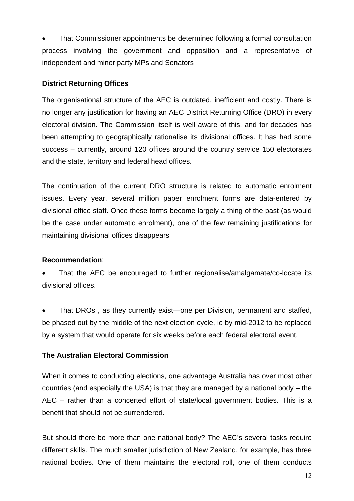• That Commissioner appointments be determined following a formal consultation process involving the government and opposition and a representative of independent and minor party MPs and Senators

#### **District Returning Offices**

The organisational structure of the AEC is outdated, inefficient and costly. There is no longer any justification for having an AEC District Returning Office (DRO) in every electoral division. The Commission itself is well aware of this, and for decades has been attempting to geographically rationalise its divisional offices. It has had some success – currently, around 120 offices around the country service 150 electorates and the state, territory and federal head offices.

The continuation of the current DRO structure is related to automatic enrolment issues. Every year, several million paper enrolment forms are data-entered by divisional office staff. Once these forms become largely a thing of the past (as would be the case under automatic enrolment), one of the few remaining justifications for maintaining divisional offices disappears

#### **Recommendation**:

• That the AEC be encouraged to further regionalise/amalgamate/co-locate its divisional offices.

• That DROs , as they currently exist—one per Division, permanent and staffed, be phased out by the middle of the next election cycle, ie by mid-2012 to be replaced by a system that would operate for six weeks before each federal electoral event.

## **The Australian Electoral Commission**

When it comes to conducting elections, one advantage Australia has over most other countries (and especially the USA) is that they are managed by a national body – the AEC – rather than a concerted effort of state/local government bodies. This is a benefit that should not be surrendered.

But should there be more than one national body? The AEC's several tasks require different skills. The much smaller jurisdiction of New Zealand, for example, has three national bodies. One of them maintains the electoral roll, one of them conducts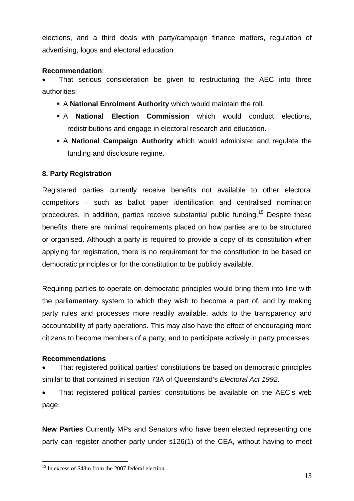elections, and a third deals with party/campaign finance matters, regulation of advertising, logos and electoral education

## **Recommendation**:

That serious consideration be given to restructuring the AEC into three authorities:

- A **National Enrolment Authority** which would maintain the roll.
- A **National Election Commission** which would conduct elections, redistributions and engage in electoral research and education.
- A **National Campaign Authority** which would administer and regulate the funding and disclosure regime.

## **8. Party Registration**

Registered parties currently receive benefits not available to other electoral competitors – such as ballot paper identification and centralised nomination procedures. In addition, parties receive substantial public funding.15 Despite these benefits, there are minimal requirements placed on how parties are to be structured or organised. Although a party is required to provide a copy of its constitution when applying for registration, there is no requirement for the constitution to be based on democratic principles or for the constitution to be publicly available.

Requiring parties to operate on democratic principles would bring them into line with the parliamentary system to which they wish to become a part of, and by making party rules and processes more readily available, adds to the transparency and accountability of party operations. This may also have the effect of encouraging more citizens to become members of a party, and to participate actively in party processes.

## **Recommendations**

1

• That registered political parties' constitutions be based on democratic principles similar to that contained in section 73A of Queensland's *Electoral Act 1992.*

• That registered political parties' constitutions be available on the AEC's web page.

**New Parties** Currently MPs and Senators who have been elected representing one party can register another party under s126(1) of the CEA, without having to meet

<sup>&</sup>lt;sup>15</sup> In excess of \$48m from the 2007 federal election.